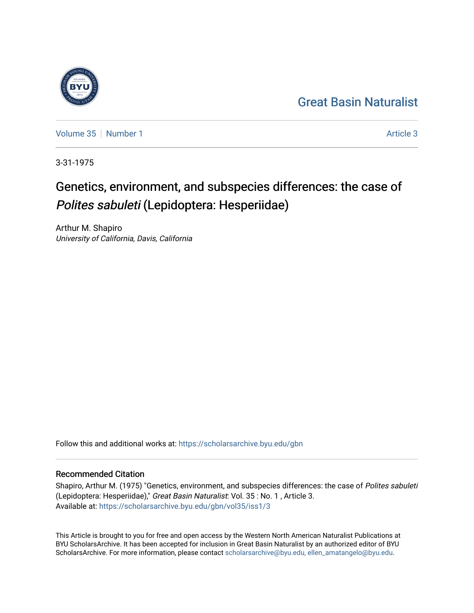## [Great Basin Naturalist](https://scholarsarchive.byu.edu/gbn)

[Volume 35](https://scholarsarchive.byu.edu/gbn/vol35) [Number 1](https://scholarsarchive.byu.edu/gbn/vol35/iss1) Article 3

3-31-1975

# Genetics, environment, and subspecies differences: the case of Polites sabuleti (Lepidoptera: Hesperiidae)

Arthur M. Shapiro University of California, Davis, California

Follow this and additional works at: [https://scholarsarchive.byu.edu/gbn](https://scholarsarchive.byu.edu/gbn?utm_source=scholarsarchive.byu.edu%2Fgbn%2Fvol35%2Fiss1%2F3&utm_medium=PDF&utm_campaign=PDFCoverPages) 

### Recommended Citation

Shapiro, Arthur M. (1975) "Genetics, environment, and subspecies differences: the case of Polites sabuleti (Lepidoptera: Hesperiidae)," Great Basin Naturalist: Vol. 35 : No. 1 , Article 3. Available at: [https://scholarsarchive.byu.edu/gbn/vol35/iss1/3](https://scholarsarchive.byu.edu/gbn/vol35/iss1/3?utm_source=scholarsarchive.byu.edu%2Fgbn%2Fvol35%2Fiss1%2F3&utm_medium=PDF&utm_campaign=PDFCoverPages)

This Article is brought to you for free and open access by the Western North American Naturalist Publications at BYU ScholarsArchive. It has been accepted for inclusion in Great Basin Naturalist by an authorized editor of BYU ScholarsArchive. For more information, please contact [scholarsarchive@byu.edu, ellen\\_amatangelo@byu.edu.](mailto:scholarsarchive@byu.edu,%20ellen_amatangelo@byu.edu)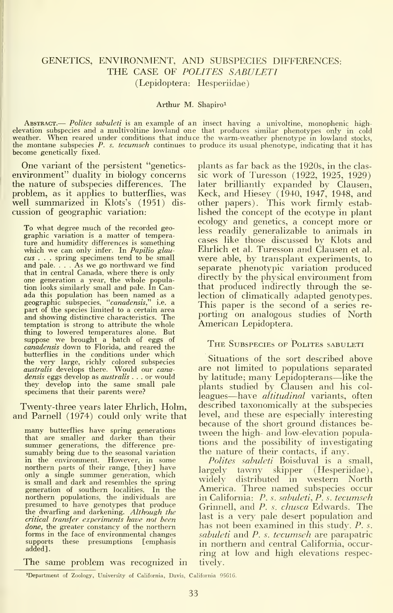#### GENETICS, ENVIRONMENT, AND SUBSPECIES DIFFERENCES: THE CASE OF POLITES SABULETI (Lepidoptera: Hesperiidae)

#### Arthur M. Shapiro<sup>1</sup>

ABSTRACT.— Polites sabuleti is an example of an insect having a univoltine, monophenic high-<br>elevation subspecies and a multivoltine lowland one that produces similar phenotypes only in cold<br>weather. When reared under cond the montane subspecies  $P$ . s. tecumseh continues to produce its usual phenotype, indicating that it has become genetically fixed.

One variant of the persistent "geneticsenvironment" duality in biology concerns the nature of subspecies differences. The problem, as it applies to butterflies, was well summarized in Klots's (1951) discussion of geographic variation:

To what degree much of the recorded geo graphic variation is a matter of temperature and humidity differences is something which we can only infer. In Papilio glaucus . . . spring specimens tend to be small and pale. . . . As we go northward we find that in central Canada, where there is only one generation a year, the whole population looks similarly small and pale. In Canada this population has been named as a<br>geographic subspecies, ''c*anadensis*,'' i.e. a<br>part of the species limited to a certain area and showing distinctive characteristics. The temptation is strong to attribute the whole thing to lowered temperatures alone. But suppose we brought a batch of eggs of<br>*canadensis* down to Florida, and reared the butterflies in the conditions under which<br>the very large, richly colored subspecies<br>*australis* develops there. Would our *cana*densis eggs develop as *australis* . . . or would they develop into the same small pale<br>specimens that their parents were?

Twenty-three years later Ehrlich, Holm, and Parnell (1974) could only write that

many butterflies have spring generations that are smaller and darker than their summer generations, the difference pre- sumably being due to the seasonal variation in the environment. However, in some northern parts of their range, [they] have only a single summer generation, which and recorder the company widely is small and dark and resembles the spring generation of southern localities. In the northern populations, the individuals are<br>presumed to have genotypes that produce the dwarfing and darkening. Although the critical transfer experiments have not been done, the greater constancy of the northern forms in the face of environmental changes<br>supports these presumptions [emphasis] these presumptions [emphasis added].

plants as far back as the 1920s, in the classic work of Turesson (1922, 1925, 1929) later brilliantly expanded by Clausen, Keck, and Hiesey (1940, 1947, 1948, and other papers). This work firmly estab lished the concept of the ecotype in plant ecology and genetics, a concept more or less readily generalizable to animals in cases like those discussed by Klots and Ehrlich et al. Turesson and Clausen et al. were able, by transplant experiments, to separate phenotypic variation produced directly by the physical environment from that produced indirectly through the se lection of climatically adapted genotypes. This paper is the second of a series reporting on analogous studies of North American Lepidoptera.

#### THE SUBSPECIES OF POLITES SABULETI

Situations of the sort described above are not limited to populations separated by latitude; many Lepidopterans—like the plants studied by Clausen and his colleagues—have *altitudinal* variants, often described taxonomically at the subspecies level, and these are especially interesting because of the short ground distances be tween the high- and low-elevation populations and the possibility of investigating the nature of their contacts, if any.

Polites sabuleti Boisduval is a small, largely tawny skipper (Hesperiidae), distributed in western North America. Three named subspecies occur in California: P. s. sabuleti, P. s. tecumseh Grinnell, and P. s. chusca Edwards. The last is a very pale desert population and has not been examined in this study. P. s. sabuleti and P. s. tecumseh are parapatric in northern and central California, occur ring at low and high elevations respectively.

The same problem was recognized in

'Department of Zoology, University of California, Davis, California 95616.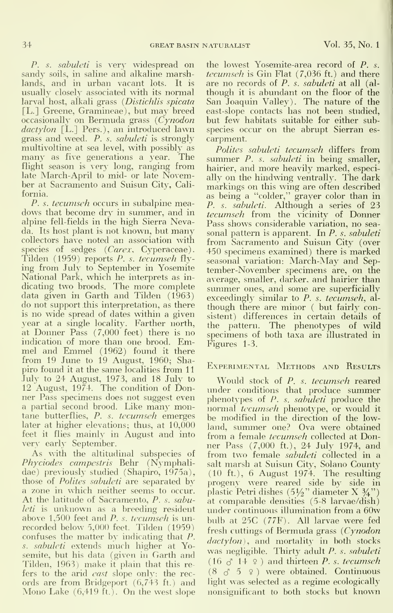P. s. *sabuleti* is very widespread on sandy soils, in saline and alkaline marshlands, and in urban vacant lots. It is usually closely associated with its normal larval host, alkali grass (Distichlis spicata [L.] Greene, Gramineae), but may breed occasionally on Bermuda grass (Cynodon dactylon [L.] Pers.), an introduced lawn grass and weed. P. s. *sabuleti* is strongly multivoltine at sea level, with possibly as many as five generations a year. The flight season is very long, ranging from late March-April to mid- or late November at Sacramento and Suisun City, California.

P. s. tecumseh occurs in subalpine meadows that become dry in summer, and in alpine fell-fields in the high Sierra Nevada. Its host plant is not known, but many collectors have noted an association with species of sedges (Carex, Cyperaceae). Tilden (1959) reports P. s. tecumseh fly ing from Jul}' to September in Yosemite National Park, which he interprets as in-<br>dicating two broods. The more complete s<sub>un</sub> data given in Garth and Tilden (1963) do not support .this interpretation, as there is no wide spread of dates within a given year at a single locality. Farther north, at Donner Pass (7,000 feet) there is no indication of more than one brood. Emmel and Emmel (1962) found it there from 19 June to 19 August, 1960; Shapiro found it at the same localities from <sup>1</sup> July to 24 August, 1973, and 18 July to<br>12 August, 1974. The condition of Don-  $_{\mathrm{H\textsc{ii}}}$ ner Pass specimens does not suggest even <sup>a</sup> partial second brood. Like many montane butterflies, P. s. tecumseh emerges later at higher elevations; thus, at 10,000 feet it flies mainly in August and into very early September.

As with the altitudinal subspecies of Phyciodes campestris Behr (Nymphalidae) previously studied (Shapiro, 1975a), those of Polites sabuleti are separated by a zone in which neither seems to occur. At the latitude of Sacramento, P. s. sabuleti is unknown as a breeding resident above  $1,500$  feet and  $P. s.$  tecumseh is unrecorded below 5,000 feet. Tilden (1959) confuses the matter by indicating that P. s. sabuleti extends much higher at Yosemite, but his data (given in Garth and Tilden, 1963) make it plain that this re fers to the arid *east* slope only: the records are from Bridgeport (6,743 ft.) and Mono Lake (6,419 ft.). On the west slope the lowest Yosemite-area record of P. s. tecumseh is Gin Flat (7,036 ft.) and there are no records of P. s. sabuleti at all (al though it is abundant on the floor of the San Joaquin Valley). The nature of the east-slope contacts has not been studied, but few habitats suitable for either subspecies occur on the abrupt Sierran es carpment.

Polites sabuleti tecumseh differs from summer P. s. sabuleti in being smaller, hairier, and more heavily marked, especi ally on the hindwing ventrally. The dark markings on this wing are often described as being a "colder," grayer color than in P. s. sabuleti. Although a series of 23 tecumseh from the vicinity of Donner Pass shows considerable variation, no sea sonal pattern is apparent. In P. s. sabuleti from Sacramento and Suisun City (over 450 specimens examined) there is marked seasonal variation: March-May and Sep tember-November specimens are, on the average, smaller, darker, and hairier than summer ones, and some are superficially exceedingly similar to P. s. tecumseh, although there are minor  $($  but fairly consistent) differences in certain details of the pattern. The phenotypes of wild specimens of both taxa are illustrated in Figures 1-3.

#### Experimental Methods and Results

Would stock of P. s. tecumseh reared under conditions that produce summer phenotypes of P. s. *sabuleti* produce the normal tecumseh phenotype, or would it be modified in the direction of the lowland, summer one? Ova were obtained from a female *tecumseh* collected at Donner Pass (7,000 ft), 24 July 1974, and from two female *sabuleti* collected in a salt marsh at Suisun City, Solano County (10 ft.), 6 August 1974. The resulting progeny were reared side by side in<br>plastic Petri dishes (5½" diameter X ¾") at comparable densities (5-8 larvae/dish) under continuous illumination from a 60w bulb at 25C (77F). All larvae were fed fresh cuttings of Bermuda grass (Cynodon dactylon), and mortality in both stocks was negligible. Thirty adult P. s. sabuleti  $(16 \, \delta \, 14 \, \epsilon)$  and thirteen P. s. tecumseh  $(8 \text{ s}^2 \cdot 5 \cdot 2)$  were obtained. Continuous light was selected as a regime ecologically nonsignificant to both stocks but known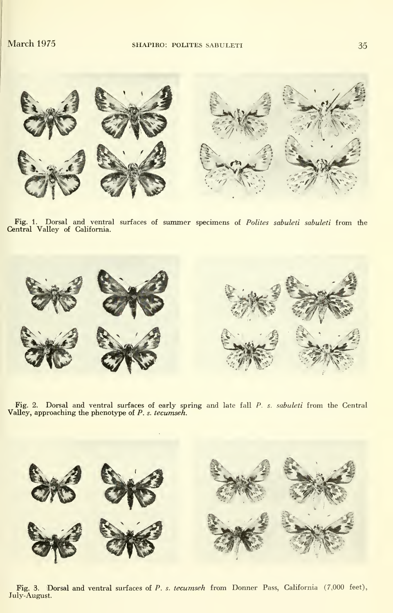

Fig. 1. Dorsal and ventral surfaces of summer specimens of Polites sabuleti sabuleti from the Central Valley of California.



Fig. 2. Dorsal and ventral surfaces of early spring and late fall  $P$ . *s. sabuleti* from the Central Valley, approaching the phenotype of  $P$ . *s. tecumseh*.



Fig. 3. Dorsal and ventral surfaces of P. s. tecumseh from Donner Pass, California (7,000 feet), July-August.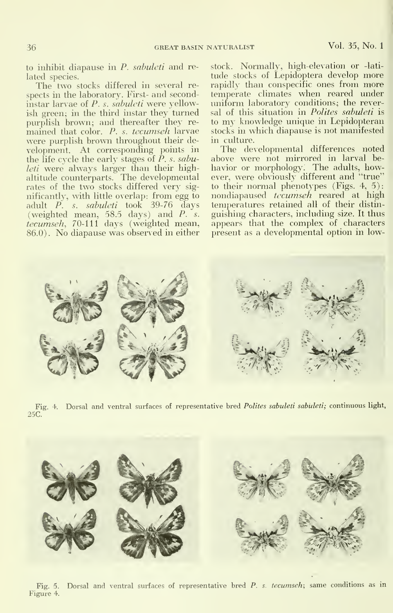to inhibit diapause in P. sabuleti and related species.

The two stocks differed in several respects in the laboratory. First- and secondinstar larvae of  $P$ . s. sabuleti were yellowish green; in the third instar they turned purplish brown; and thereafter they re mained that color. P. s. tecumseh larvae were purplish brown throughout their de velopment. At corresponding points in the life cycle the early stages of *P. s. sabu*leti were always larger than their highaltitude counterparts. The developmental rates of the two stocks differed very sig nificantly, with little overlap: from egg to adult P. s. sabuleti took 39-76 days (weighted mean, 58.5 days) and P. s. tecumseh, 70-111 days (weighted mean, 86.0). No diapause was observed in either

stock. Normally, high-elevation or -lati tude stocks of Lepidoptera develop more rapidly than conspecific ones from more temperate climates when reared under uniform laboratory conditions; the reversal of this situation in Polites sabuleti is to my knowledge unique in Lepidopteran stocks in which diapause is not manifested in culture.

The developmental differences noted above were not mirrored in larval be havior or morphology. The adults, however, were obviously different and "true" to their normal phenotypes (Figs. 4, 5): nondiapaused tecumseh reared at high temperatures retained all of their distinguishing characters, including size. It thus appears that the complex of characters present as a developmental option in low-



Fig. 4. Dorsal and ventral surfaces of representative bred *Polites sabuleti sabuleti*; continuous light, 25C.



Fig. 5. Dorsal and ventral surfaces of representative bred P. s. tecumseh; same conditions as in Figure 4.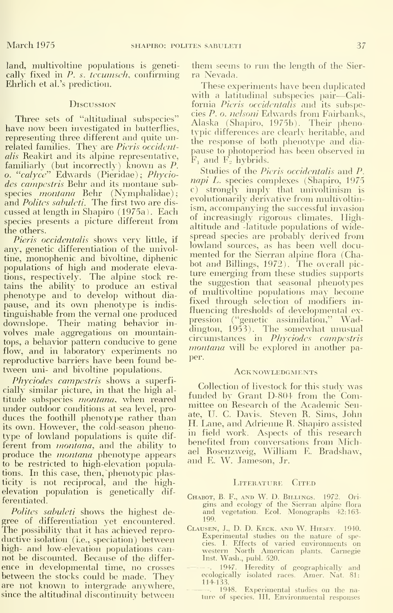land, multivoltine populations is genetically fixed in P. s. tecumsch, confirming Ehrlich et al.'s prediction.

#### **D**iscussion

Three sets of "altitudinal subspecies" have now been investigated in butterflies, representing three different and quite unrelated families. They are *Picris occident*alis Reakirt and its alpine representative, familiarly (but incorrectly) known as P. o. " $calyce$ " Edwards (Pieridae); Phyciodes campestris Behr and its montane subspecies *montana* Behr (Nymphalidae); and *Polites sabuleti*. The first two are discussed at length in Shapiro (1975a). Each species presents a picture different from the others.

Pieris occidentalis shows very little, if any, genetic differentiation of the univoltine, monophenic and bivoltine, diphenic populations of high and moderate eleva-<br>tions, respectively. The alpine stock re-<br>tains the ability to produce an estival phenotype and to develop without diapause, and its own phenotype is indis tinguishable from the vernal one produced downslope. Their mating behavior in volves male aggregations on mountaintops, a behavior pattern conducive to gene flow, and in laboratory experiments no reproductive barriers have been found be tween uni- and bivoltine populations.

Phyciodes campestris shows a superficially similar picture, in that the high al titude subspecies *montana*, when reared under outdoor conditions at sea level, pro duces the foothill phenotype rather than its own. However, the cold-season phenotype of lowland populations is quite dif ferent from *montana*, and the ability to produce the *montana* phenotype appears to be restricted to high-elevation populations. In this case, then, phenotypic plasticity is not reciprocal, and the highelevation population is genetically dif ferentiated.

Polites sabuleti shows the highest degree of differentiation yet encountered. The possibility that it has achieved repro ductive isolation (i.e., speciation) between high- and low-elevation populations can not be discounted. Because of the differ ence in developmental time, no crosses between the stocks could be made. They are not known to intergrade anywhere, since the altitudinal discontinuity between

them seems to rim the length of the Sier ra Nevada.

These experiments have been duplicated with a latitudinal subspecies pair—Cali-<br>fornia *Pieris occidentalis* and its subspecies P. o. nelsoni Edwards from Fairbanks, Alaska (Shapiro, 1975b). Their phenotypic differences are clearly heritable, and the response of both phenotype and diapause to photoperiod has been observed in  $F_1$  and  $F_2$  hybrids.

Studies of the *Pieris occidentalis* and *P* napi L. species complexes (Shapiro, 1975 c) strongly imply that univoltinism is evolutionarily derivative from multivoltinism, accompanying the successful invasion of increasingly rigorous climates. Highaltitude and -latitude populations of widespread species are probably derived from lowland sources, as has been well docu mented for the Sierran alpine flora (Chabot and Billings, 1972). The overall pic ture emerging from these studies supports the suggestion that seasonal phenotypes of multivoltine populations may become fixed through selection of modifiers in fluencing thresholds of developmental expression ("genetic assimilation," Waddington, 1953). The somewhat unusual circumstances in Phyciodes campestris montana will be explored in another paper.

#### **ACKNOWLEDGMENTS**

Collection of livestock for this study was funded by Grant D-804 from the Committee on Research of the Academic Senate, U. C. Davis. Steven R. Sims, John H. Lane, and Adrienne R. Shapiro assisted in field work. Aspects of this research benefited from conversations from Michael Rosenzweig, William E. Bradshaw, and E. W. Jameson, Jr.

#### LITERATURE CITED

- Chabot, B. F., and W. D. Billings. 1972. Ori gins and ecology of the Sierran alpine flora and vegetation. Ecol. Monographs 42:163- and 199.
- Clausen, J., D. D. Keck, and W. Hiesey. 1940. Experimental studies on the nature of species. I. Effects of varied environments on western North American plants. Carnegie Inst. Wash., publ. 520.
	- . 1947. Heredity of geographically and ecologically isolated races. Amer. Nat. 81: 114-133.
	- . 1948. Experimental studies on the nature of species. III. Environmental responses